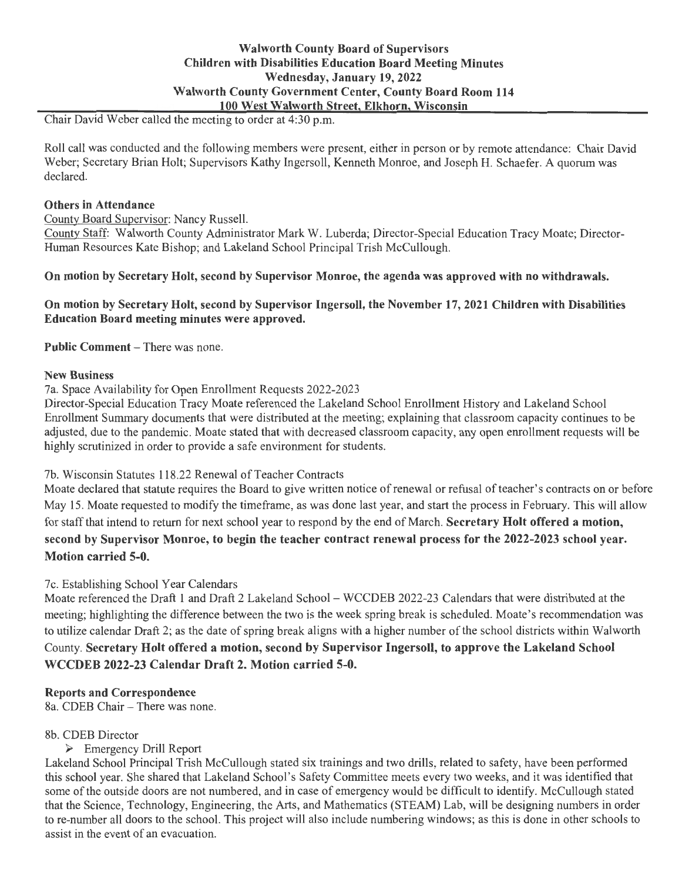# **Walworth County Board of Supervisors Children with Disabilities Education Board Meeting Minutes Wednesday, January 19, 2022 Walworth County Government Center, County Board Room 114 100 West Walworth Street, Elkhorn, Wisconsin**

Chair David Weber called the meeting to order at 4:30 p.m.

Roll call was conducted and the following members were present, either in person or by remote attendance: Chair David Weber; Secretary Brian Holt; Supervisors Kathy Ingersoll, Kenneth Monroe, and Joseph H. Schaefer. A quorum was declared.

#### **Others in Attendance**

County Board Supervisor: Nancy Russell.

County Staff: Walworth County Administrator Mark W. Luberda; Director-Special Education Tracy Moate; Director-Human Resources Kate Bishop; and Lakeland School Principal Trish McCullough.

### **On motion by Secretary Holt, second by Supervisor Monroe, the agenda was approved with no withdrawals.**

# **On motion by Secretary Holt, second by Supervisor Ingersoll, the November 17, 2021 Children with Disabilities Education Board meeting minutes were approved.**

**Public Comment – There was none.** 

#### **New Business**

7a. Space Availability for Open Enrollment Requests 2022-2023

Director-Special Education Tracy Moate referenced the Lakeland School Enrollment History and Lakeland School Enrollment Summary documents that were distributed at the meeting; explaining that classroom capacity continues to be adjusted, due to the pandemic. Moate stated that with decreased classroom capacity, any open enrollment requests will be highly scrutinized in order to provide a safe environment for students.

# 7b. Wisconsin Statutes 118.22 Renewal of Teacher Contracts

Moate declared that statute requires the Board to give written notice ofrenewal or refusal of teacher's contracts on or before May 15. Moate requested to modify the timeframe, as was done last year, and start the process in February. This will allow for staff that intend to return for next school year to respond by the end of March. **Secretary Holt offered a motion, second by Supervisor Monroe, to begin the teacher contract renewal process for the 2022-2023 school year. Motion carried 5-0.** 

### 7c. Establishing School Year Calendars

Moate referenced the Draft 1 and Draft 2 Lakeland School- WCCDEB 2022-23 Calendars that were distributed at the meeting; highlighting the difference between the two is the week spring break is scheduled. Moate 's recommendation was to utilize calendar Draft 2; as the date of spring break aligns with a higher number of the school districts within Walworth County. **Secretary Holt offered a motion, second by Supervisor Ingersoll, to approve the Lakeland School WCCDEB 2022-23 Calendar Draft 2. Motion carried 5-0.** 

# **Reports and Correspondence**

8a. CDEB Chair - There was none.

### 8b. CDEB Director

### ► Emergency Drill Report

Lakeland School Principal Trish McCullough stated six trainings and two drills, related to safety, have been performed this school year. She shared that Lakeland School's Safety Committee meets every two weeks, and it was identified that some of the outside doors are not numbered, and in case of emergency would be difficult to identify. McCullough stated that the Science, Technology, Engineering, the Arts, and Mathematics (STEAM) Lab, will be designing numbers in order to re-number all doors to the school. This project will also include numbering windows; as this is done in other schools to assist in the event of an evacuation.